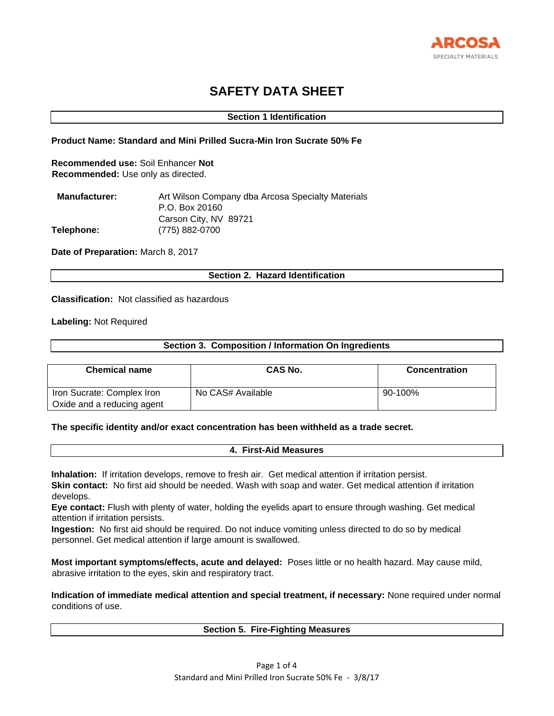

# **SAFETY DATA SHEET**

# **Section 1 Identification**

# **Product Name: Standard and Mini Prilled Sucra-Min Iron Sucrate 50% Fe**

**Recommended use:** Soil Enhancer **Not Recommended:** Use only as directed.

| <b>Manufacturer:</b> | Art Wilson Company dba Arcosa Specialty Materials |
|----------------------|---------------------------------------------------|
|                      | P.O. Box 20160                                    |
|                      | Carson City, NV 89721                             |
| <b>Telephone:</b>    | (775) 882-0700                                    |

**Date of Preparation:** March 8, 2017

# **Section 2. Hazard Identification**

**Classification:** Not classified as hazardous

# **Labeling:** Not Required

# **Section 3. Composition / Information On Ingredients**

| <b>Chemical name</b>                                     | <b>CAS No.</b>    | <b>Concentration</b> |
|----------------------------------------------------------|-------------------|----------------------|
| Iron Sucrate: Complex Iron<br>Oxide and a reducing agent | No CAS# Available | 90-100%              |

### **The specific identity and/or exact concentration has been withheld as a trade secret.**

# **4. First-Aid Measures**

**Inhalation:** If irritation develops, remove to fresh air. Get medical attention if irritation persist. **Skin contact:** No first aid should be needed. Wash with soap and water. Get medical attention if irritation develops.

**Eye contact:** Flush with plenty of water, holding the eyelids apart to ensure through washing. Get medical attention if irritation persists.

**Ingestion:** No first aid should be required. Do not induce vomiting unless directed to do so by medical personnel. Get medical attention if large amount is swallowed.

**Most important symptoms/effects, acute and delayed:** Poses little or no health hazard. May cause mild, abrasive irritation to the eyes, skin and respiratory tract.

**Indication of immediate medical attention and special treatment, if necessary:** None required under normal conditions of use.

# **Section 5. Fire-Fighting Measures**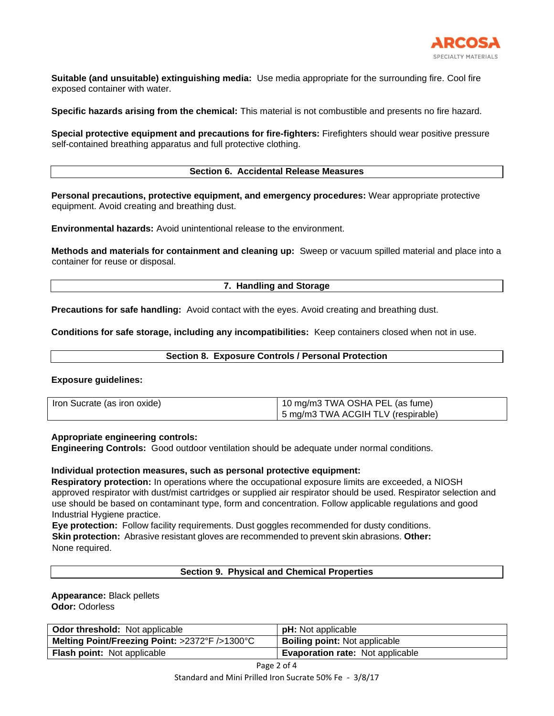

**Suitable (and unsuitable) extinguishing media:** Use media appropriate for the surrounding fire. Cool fire exposed container with water.

**Specific hazards arising from the chemical:** This material is not combustible and presents no fire hazard.

**Special protective equipment and precautions for fire-fighters:** Firefighters should wear positive pressure self-contained breathing apparatus and full protective clothing.

# **Section 6. Accidental Release Measures**

**Personal precautions, protective equipment, and emergency procedures:** Wear appropriate protective equipment. Avoid creating and breathing dust.

**Environmental hazards:** Avoid unintentional release to the environment.

**Methods and materials for containment and cleaning up:** Sweep or vacuum spilled material and place into a container for reuse or disposal.

# **7. Handling and Storage**

**Precautions for safe handling:** Avoid contact with the eyes. Avoid creating and breathing dust.

**Conditions for safe storage, including any incompatibilities:** Keep containers closed when not in use.

|  |  | <b>Section 8. Exposure Controls / Personal Protection</b> |
|--|--|-----------------------------------------------------------|
|--|--|-----------------------------------------------------------|

# **Exposure guidelines:**

| Iron Sucrate (as iron oxide) | 10 mg/m3 TWA OSHA PEL (as fume)    |  |
|------------------------------|------------------------------------|--|
|                              | 5 mg/m3 TWA ACGIH TLV (respirable) |  |

## **Appropriate engineering controls:**

**Engineering Controls:** Good outdoor ventilation should be adequate under normal conditions.

### **Individual protection measures, such as personal protective equipment:**

**Respiratory protection:** In operations where the occupational exposure limits are exceeded, a NIOSH approved respirator with dust/mist cartridges or supplied air respirator should be used. Respirator selection and use should be based on contaminant type, form and concentration. Follow applicable regulations and good Industrial Hygiene practice.

**Eye protection:** Follow facility requirements. Dust goggles recommended for dusty conditions. **Skin protection:** Abrasive resistant gloves are recommended to prevent skin abrasions. **Other:**  None required.

# **Section 9. Physical and Chemical Properties**

# **Appearance:** Black pellets **Odor:** Odorless

| <b>Odor threshold:</b> Not applicable          | <b>pH:</b> Not applicable               |
|------------------------------------------------|-----------------------------------------|
| Melting Point/Freezing Point: >2372°F />1300°C | <b>Boiling point:</b> Not applicable    |
| <b>Flash point:</b> Not applicable             | <b>Evaporation rate:</b> Not applicable |

Page 2 of 4

Standard and Mini Prilled Iron Sucrate 50% Fe - 3/8/17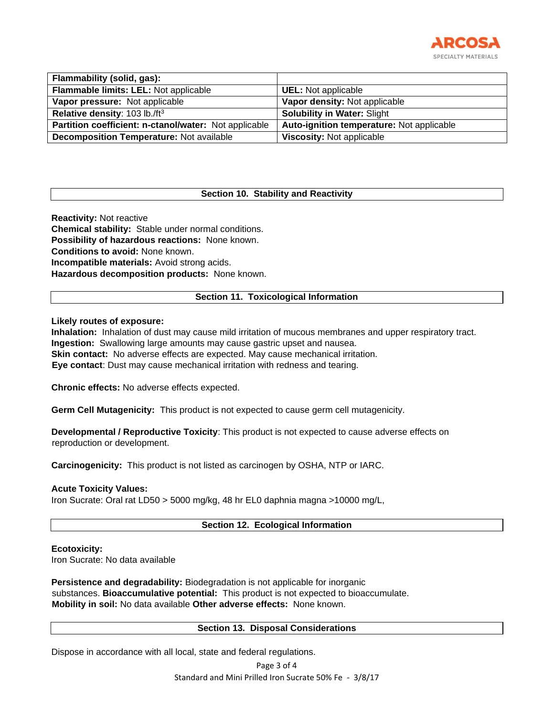

| Flammability (solid, gas):                            |                                           |
|-------------------------------------------------------|-------------------------------------------|
| Flammable limits: LEL: Not applicable                 | <b>UEL:</b> Not applicable                |
| Vapor pressure: Not applicable                        | Vapor density: Not applicable             |
| Relative density: 103 lb./ft <sup>3</sup>             | <b>Solubility in Water: Slight</b>        |
| Partition coefficient: n-ctanol/water: Not applicable | Auto-ignition temperature: Not applicable |
| <b>Decomposition Temperature: Not available</b>       | <b>Viscosity: Not applicable</b>          |

# **Section 10. Stability and Reactivity**

**Reactivity:** Not reactive **Chemical stability:** Stable under normal conditions. **Possibility of hazardous reactions:** None known. **Conditions to avoid:** None known. **Incompatible materials:** Avoid strong acids. **Hazardous decomposition products:** None known.

# **Section 11. Toxicological Information**

# **Likely routes of exposure:**

**Inhalation:** Inhalation of dust may cause mild irritation of mucous membranes and upper respiratory tract. **Ingestion:** Swallowing large amounts may cause gastric upset and nausea. **Skin contact:** No adverse effects are expected. May cause mechanical irritation. **Eye contact**: Dust may cause mechanical irritation with redness and tearing.

**Chronic effects:** No adverse effects expected.

**Germ Cell Mutagenicity:** This product is not expected to cause germ cell mutagenicity.

**Developmental / Reproductive Toxicity**: This product is not expected to cause adverse effects on reproduction or development.

**Carcinogenicity:** This product is not listed as carcinogen by OSHA, NTP or IARC.

### **Acute Toxicity Values:**

Iron Sucrate: Oral rat LD50 > 5000 mg/kg, 48 hr EL0 daphnia magna >10000 mg/L,

# **Section 12. Ecological Information**

### **Ecotoxicity:**

Iron Sucrate: No data available

**Persistence and degradability:** Biodegradation is not applicable for inorganic substances. **Bioaccumulative potential:** This product is not expected to bioaccumulate. **Mobility in soil:** No data available **Other adverse effects:** None known.

### **Section 13. Disposal Considerations**

Dispose in accordance with all local, state and federal regulations.